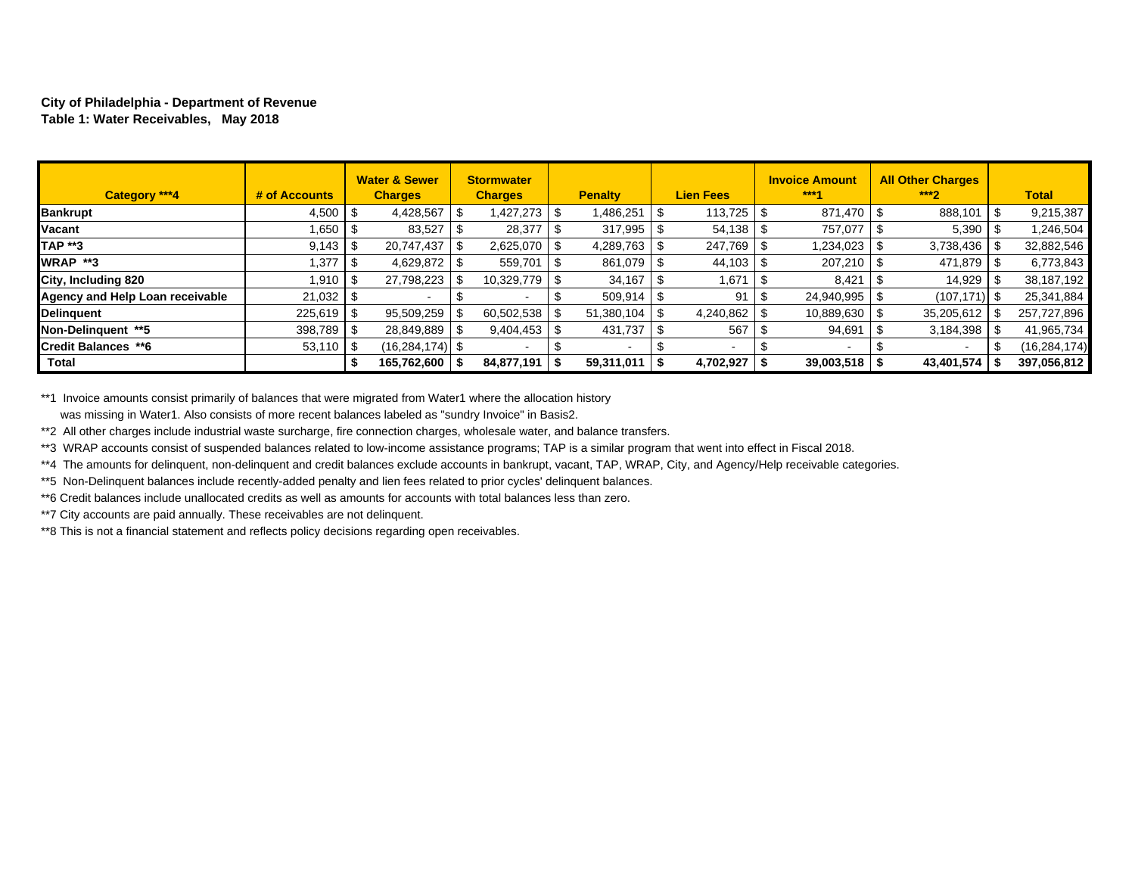#### **City of Philadelphia - Department of Revenue Table 1: Water Receivables, May 2018**

| Category ***4                   | # of Accounts  | <b>Water &amp; Sewer</b><br><b>Charges</b> | <b>Stormwater</b><br><b>Charges</b> | <b>Penalty</b> | <b>Lien Fees</b>     | <b>Invoice Amount</b><br>$***1$ | <b>All Other Charges</b><br>$***2$ | <b>Total</b>   |
|---------------------------------|----------------|--------------------------------------------|-------------------------------------|----------------|----------------------|---------------------------------|------------------------------------|----------------|
| <b>Bankrupt</b>                 | $4,500$ \ \$   | 4,428,567                                  | 1,427,273                           | 1,486,251      | $113.725$ $\sqrt{3}$ | 871.470                         | 888,101                            | 9,215,387      |
| Vacant                          | .650 ا         | 83,527                                     | 28,377                              | 317,995        | $54.138$ \ \$        | 757.077                         | 5,390                              | 1,246,504      |
| <b>TAP **3</b>                  |                | 20.747.437                                 | 2,625,070                           | 4,289,763      | 247,769              | 1,234,023                       | 3,738,436                          | 32,882,546     |
| <b>WRAP **3</b>                 | .377           | 4,629,872 \$                               | 559,701                             | 861,079        |                      | 207,210                         | 471.879                            | 6,773,843      |
| City, Including 820             | 1.910 I \$     | 27,798,223                                 | 10,329,779                          | 34.167         | .671 ا               | 8,421                           | 14,929                             | 38,187,192     |
| Agency and Help Loan receivable |                |                                            |                                     | 509,914        | 91                   | 24,940,995                      | $(107.171)$ \$                     | 25,341,884     |
| <b>Delinguent</b>               | $225,619$ \$   | $95,509,259$ \\$                           | 60,502,538                          | 51.380.104     | 4,240,862            | 10,889,630                      | 35,205,612                         | 257,727,896    |
| Non-Delinguent **5              | $398.789$ \ \$ | 28.849.889   \$                            | 9,404,453                           | 431.737        | 567                  | 94,691                          | 3,184,398                          | 41,965,734     |
| <b>Credit Balances **6</b>      | $53,110$ \\$   | $(16, 284, 174)$ \$                        |                                     |                | $\sim$               |                                 |                                    | (16, 284, 174) |
| <b>Total</b>                    |                | 165,762,600   \$                           | 84,877,191                          | 59,311,011     | 4,702,927            | $39,003,518$   \$               | 43,401,574                         | 397,056,812    |

\*\*1 Invoice amounts consist primarily of balances that were migrated from Water1 where the allocation history was missing in Water1. Also consists of more recent balances labeled as "sundry Invoice" in Basis2.

\*\*2 All other charges include industrial waste surcharge, fire connection charges, wholesale water, and balance transfers.

\*\*3 WRAP accounts consist of suspended balances related to low-income assistance programs; TAP is a similar program that went into effect in Fiscal 2018.

\*\*4 The amounts for delinquent, non-delinquent and credit balances exclude accounts in bankrupt, vacant, TAP, WRAP, City, and Agency/Help receivable categories.

\*\*5 Non-Delinquent balances include recently-added penalty and lien fees related to prior cycles' delinquent balances.

\*\*6 Credit balances include unallocated credits as well as amounts for accounts with total balances less than zero.

\*\*7 City accounts are paid annually. These receivables are not delinquent.

\*\*8 This is not a financial statement and reflects policy decisions regarding open receivables.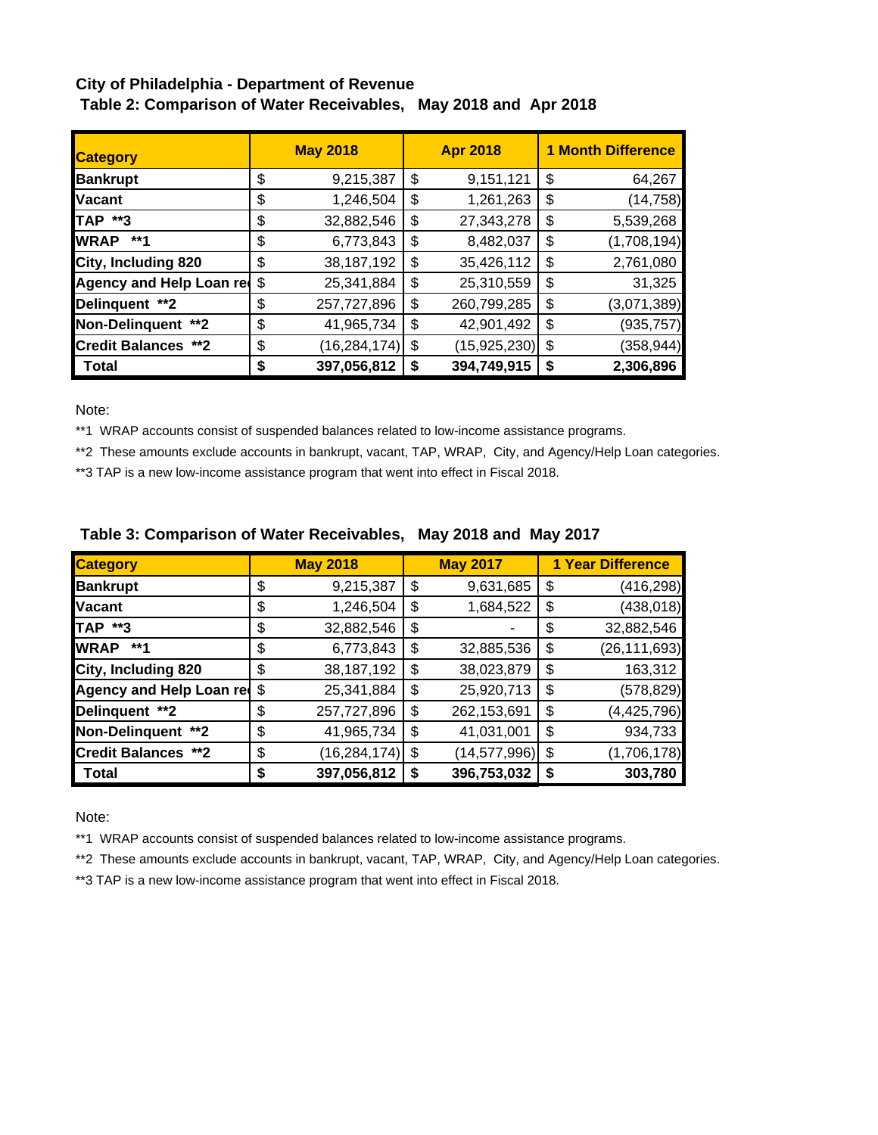## **City of Philadelphia - Department of Revenue Table 2: Comparison of Water Receivables, May 2018 and Apr 2018**

| <b>Category</b>                 | <b>May 2018</b> |                | <b>Apr 2018</b> |                |    | <b>1 Month Difference</b> |  |  |
|---------------------------------|-----------------|----------------|-----------------|----------------|----|---------------------------|--|--|
| <b>Bankrupt</b>                 | \$              | 9,215,387      | \$              | 9,151,121      | \$ | 64,267                    |  |  |
| <b>Vacant</b>                   | \$              | 1,246,504      | \$              | 1,261,263      | \$ | (14, 758)                 |  |  |
| TAP **3                         | \$              | 32,882,546     | \$              | 27,343,278     | \$ | 5,539,268                 |  |  |
| <b>WRAP</b><br>**1              | \$              | 6,773,843      | \$              | 8,482,037      | \$ | (1,708,194)               |  |  |
| City, Including 820             | \$              | 38,187,192     | \$              | 35,426,112     | \$ | 2,761,080                 |  |  |
| <b>Agency and Help Loan red</b> | \$              | 25,341,884     | \$              | 25,310,559     | \$ | 31,325                    |  |  |
| Delinquent **2                  | \$              | 257,727,896    | \$              | 260,799,285    | \$ | (3,071,389)               |  |  |
| Non-Delinquent **2              | \$              | 41,965,734     | \$              | 42,901,492     | \$ | (935, 757)                |  |  |
| <b>Credit Balances **2</b>      | \$              | (16, 284, 174) | \$              | (15, 925, 230) | \$ | (358, 944)                |  |  |
| Total                           | S               | 397,056,812    | S               | 394,749,915    | \$ | 2,306,896                 |  |  |

Note:

\*\*1 WRAP accounts consist of suspended balances related to low-income assistance programs.

\*\*2 These amounts exclude accounts in bankrupt, vacant, TAP, WRAP, City, and Agency/Help Loan categories.

\*\*3 TAP is a new low-income assistance program that went into effect in Fiscal 2018.

| <b>Category</b>            |    | <b>May 2018</b> |    | <b>May 2017</b> | <b>1 Year Difference</b> |                |  |
|----------------------------|----|-----------------|----|-----------------|--------------------------|----------------|--|
| <b>Bankrupt</b>            | \$ | 9,215,387       | \$ | 9,631,685       | \$                       | (416, 298)     |  |
| <b>Vacant</b>              | \$ | 1,246,504       | \$ | 1,684,522       | \$                       | (438, 018)     |  |
| <b>TAP **3</b>             | \$ | 32,882,546      | \$ |                 | \$                       | 32,882,546     |  |
| <b>WRAP</b><br>**1         | \$ | 6,773,843       | \$ | 32,885,536      | \$                       | (26, 111, 693) |  |
| City, Including 820        | \$ | 38,187,192      | \$ | 38,023,879      | \$                       | 163,312        |  |
| Agency and Help Loan red   | \$ | 25,341,884      | \$ | 25,920,713      | \$                       | (578, 829)     |  |
| Delinquent **2             | \$ | 257,727,896     | \$ | 262,153,691     | \$                       | (4,425,796)    |  |
| Non-Delinquent **2         | \$ | 41,965,734      | \$ | 41,031,001      | \$                       | 934,733        |  |
| <b>Credit Balances **2</b> | \$ | (16, 284, 174)  | \$ | (14, 577, 996)  | \$                       | (1,706,178)    |  |
| Total                      | S  | 397,056,812     | S  | 396,753,032     | \$                       | 303,780        |  |

# **Table 3: Comparison of Water Receivables, May 2018 and May 2017**

Note:

\*\*1 WRAP accounts consist of suspended balances related to low-income assistance programs.

\*\*2 These amounts exclude accounts in bankrupt, vacant, TAP, WRAP, City, and Agency/Help Loan categories.

\*\*3 TAP is a new low-income assistance program that went into effect in Fiscal 2018.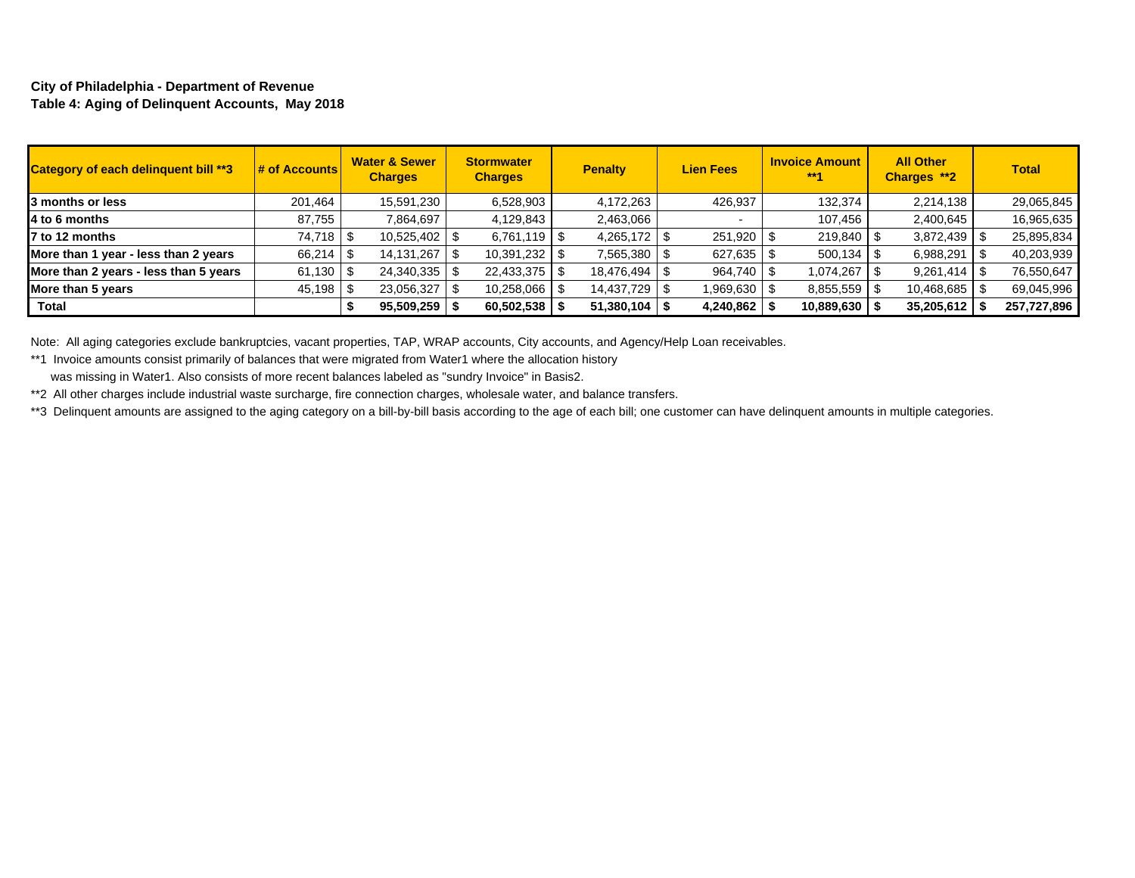### **City of Philadelphia - Department of Revenue Table 4: Aging of Delinquent Accounts, May 2018**

| <b>Category of each delinguent bill **3</b> | <b># of Accounts</b> | <b>Water &amp; Sewer</b><br><b>Charges</b> | <b>Stormwater</b><br><b>Charges</b> | <b>Penalty</b>    | <b>Lien Fees</b> | <b>Invoice Amount</b><br>$***1$ | <b>All Other</b><br>Charges **2 | <b>Total</b> |
|---------------------------------------------|----------------------|--------------------------------------------|-------------------------------------|-------------------|------------------|---------------------------------|---------------------------------|--------------|
| 3 months or less                            | 201.464              | 15,591,230                                 | 6,528,903                           | 4,172,263         | 426.937          | 132,374                         | 2,214,138                       | 29.065.845   |
| 4 to 6 months                               | 87.755               | 7,864,697                                  | 4,129,843                           | 2,463,066         |                  | 107,456                         | 2,400,645                       | 16,965,635   |
| 7 to 12 months                              |                      |                                            | $6,761,119$ \ \$                    | $4,265,172$ \$    | 251,920          | 219,840                         | 3,872,439                       | 25,895,834   |
| More than 1 year - less than 2 years        | 66,214               | 14, 131, 267                               | 10,391,232                          | 7,565,380 \$      | 627,635          | 500,134                         | 6,988,291                       | 40,203,939   |
| More than 2 years - less than 5 years       | 61,130               | $24,340,335$ \$                            | $22,433,375$ \\$                    | 18,476,494 \$     | 964,740 \$       | 1,074,267                       | 9,261,414                       | 76,550,647   |
| More than 5 years                           | $45,198$ \$          | 23,056,327                                 | 10,258,066   \$                     | 14,437,729 \$     | 969,630 S        | 8,855,559                       | 10,468,685                      | 69,045,996   |
| Total                                       |                      | $95,509,259$ $\frac{8}{3}$                 | 60,502,538                          | $51,380,104$   \$ | 4,240,862        | 10,889,630                      | 35,205,612                      | 257,727,896  |

Note: All aging categories exclude bankruptcies, vacant properties, TAP, WRAP accounts, City accounts, and Agency/Help Loan receivables.

\*\*1 Invoice amounts consist primarily of balances that were migrated from Water1 where the allocation history was missing in Water1. Also consists of more recent balances labeled as "sundry Invoice" in Basis2.

\*\*2 All other charges include industrial waste surcharge, fire connection charges, wholesale water, and balance transfers.

\*\*3 Delinquent amounts are assigned to the aging category on a bill-by-bill basis according to the age of each bill; one customer can have delinquent amounts in multiple categories.